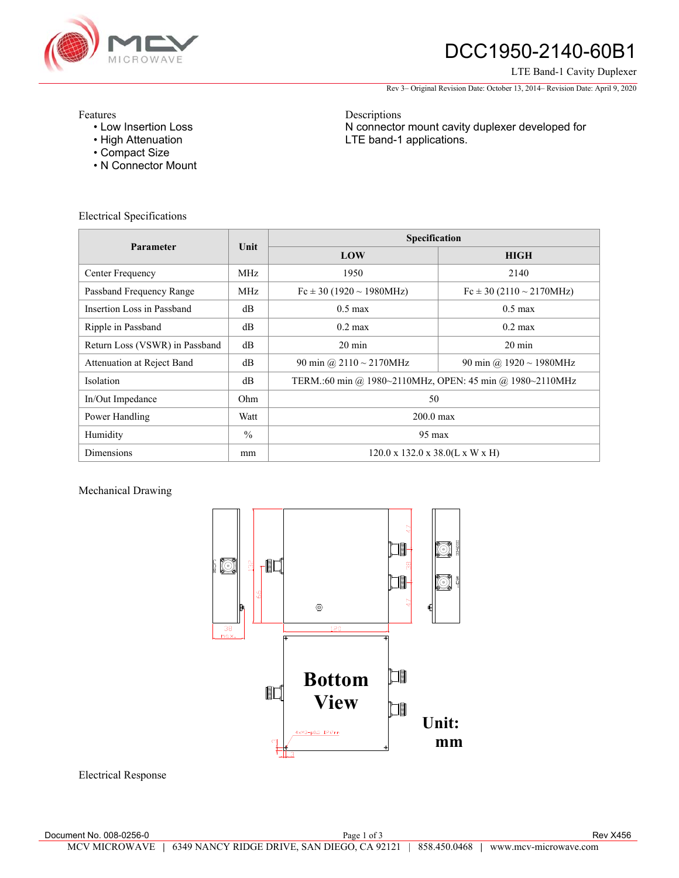

# DCC1950-2140-60B1

#### LTE Band-1 Cavity Duplexer

Rev 3– Original Revision Date: October 13, 2014– Revision Date: April 9, 2020

N connector mount cavity duplexer developed for

Features

- Low Insertion Loss
- High Attenuation
- Compact Size
- N Connector Mount

Electrical Specifications

| Parameter                      | Unit          | Specification                                            |                                  |
|--------------------------------|---------------|----------------------------------------------------------|----------------------------------|
|                                |               | LOW                                                      | <b>HIGH</b>                      |
| Center Frequency               | MHz           | 1950                                                     | 2140                             |
| Passband Frequency Range       | MHz           | $Fc \pm 30$ (1920 ~ 1980MHz)                             | $Fc \pm 30 (2110 \sim 2170 MHz)$ |
| Insertion Loss in Passband     | $\text{dB}$   | $0.5 \text{ max}$                                        | $0.5$ max                        |
| Ripple in Passband             | dB            | $0.2 \text{ max}$                                        | $0.2 \text{ max}$                |
| Return Loss (VSWR) in Passband | dB            | $20 \text{ min}$                                         | $20 \text{ min}$                 |
| Attenuation at Reject Band     | dB            | 90 min @ $2110 \sim 2170$ MHz                            | 90 min @ $1920 \sim 1980$ MHz    |
| <b>Isolation</b>               | dB            | TERM.:60 min @ 1980~2110MHz, OPEN: 45 min @ 1980~2110MHz |                                  |
| In/Out Impedance               | Ohm           | 50                                                       |                                  |
| Power Handling                 | Watt          | $200.0 \text{ max}$                                      |                                  |
| Humidity                       | $\frac{0}{0}$ | $95 \text{ max}$                                         |                                  |
| <b>Dimensions</b>              | mm            | $120.0 \times 132.0 \times 38.0(L \times W \times H)$    |                                  |

Descriptions

LTE band-1 applications.

Mechanical Drawing



Electrical Response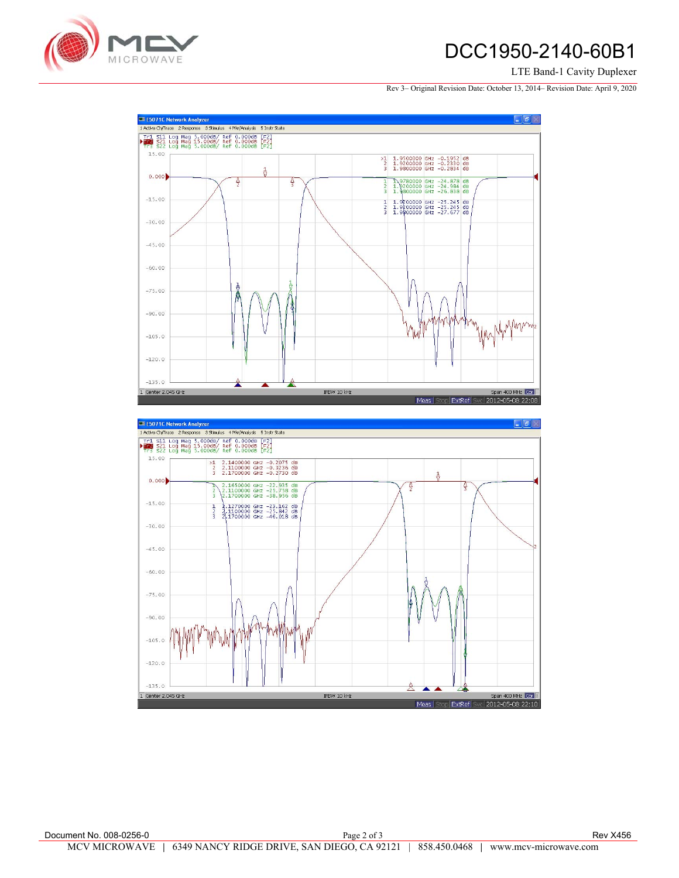

### DCC1950-2140-60B1

#### LTE Band-1 Cavity Duplexer

Rev 3– Original Revision Date: October 13, 2014– Revision Date: April 9, 2020